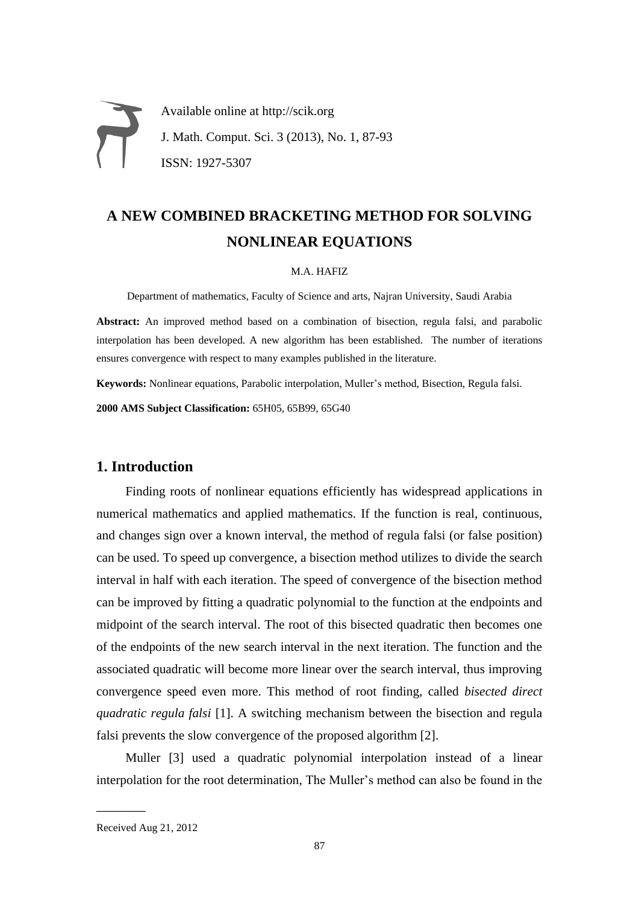# Available online at http://scik.org J. Math. Comput. Sci. 3 (2013), No. 1, 87-93 ISSN: 1927-5307

# **A NEW COMBINED BRACKETING METHOD FOR SOLVING NONLINEAR EQUATIONS**

#### M.A. HAFIZ

Department of mathematics, Faculty of Science and arts, Najran University, Saudi Arabia

**Abstract:** An improved method based on a combination of bisection, regula falsi, and parabolic interpolation has been developed. A new algorithm has been established. The number of iterations ensures convergence with respect to many examples published in the literature.

**Keywords:** Nonlinear equations, Parabolic interpolation, Muller's method, Bisection, Regula falsi.

**2000 AMS Subject Classification:** 65H05, 65B99, 65G40

# **1. Introduction**

Finding roots of nonlinear equations efficiently has widespread applications in numerical mathematics and applied mathematics. If the function is real, continuous, and changes sign over a known interval, the method of regula falsi (or false position) can be used. To speed up convergence, a bisection method utilizes to divide the search interval in half with each iteration. The speed of convergence of the bisection method can be improved by fitting a quadratic polynomial to the function at the endpoints and midpoint of the search interval. The root of this bisected quadratic then becomes one of the endpoints of the new search interval in the next iteration. The function and the associated quadratic will become more linear over the search interval, thus improving convergence speed even more. This method of root finding, called *bisected direct quadratic regula falsi* [1]. A switching mechanism between the bisection and regula falsi prevents the slow convergence of the proposed algorithm [2].

Muller [3] used a quadratic polynomial interpolation instead of a linear interpolation for the root determination, The Muller's method can also be found in the

 $\overline{\phantom{a}}$ 

Received Aug 21, 2012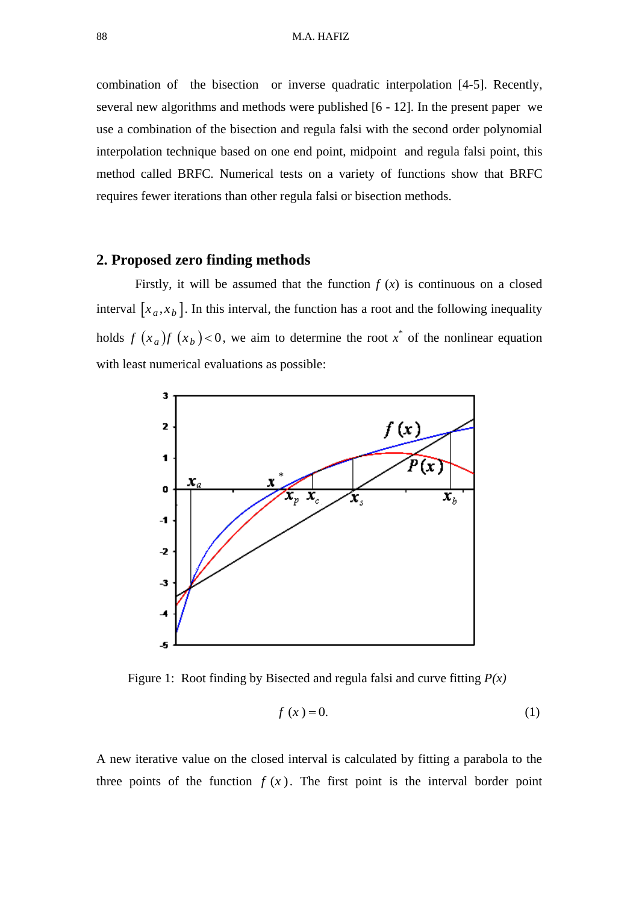combination of the bisection or inverse quadratic interpolation [4-5]. Recently, several new algorithms and methods were published [6 - 12]. In the present paper we use a combination of the bisection and regula falsi with the second order polynomial interpolation technique based on one end point, midpoint and regula falsi point, this method called BRFC. Numerical tests on a variety of functions show that BRFC requires fewer iterations than other regula falsi or bisection methods.

#### **2. Proposed zero finding methods**

Firstly, it will be assumed that the function  $f(x)$  is continuous on a closed interval  $[x_a, x_b]$ . In this interval, the function has a root and the following inequality holds  $f(x_a)f(x_b)$  < 0, we aim to determine the root  $x^*$  of the nonlinear equation with least numerical evaluations as possible:



Figure 1: Root finding by Bisected and regula falsi and curve fitting *P(x)*

$$
f(x) = 0.\tag{1}
$$

A new iterative value on the closed interval is calculated by fitting a parabola to the three points of the function  $f(x)$ . The first point is the interval border point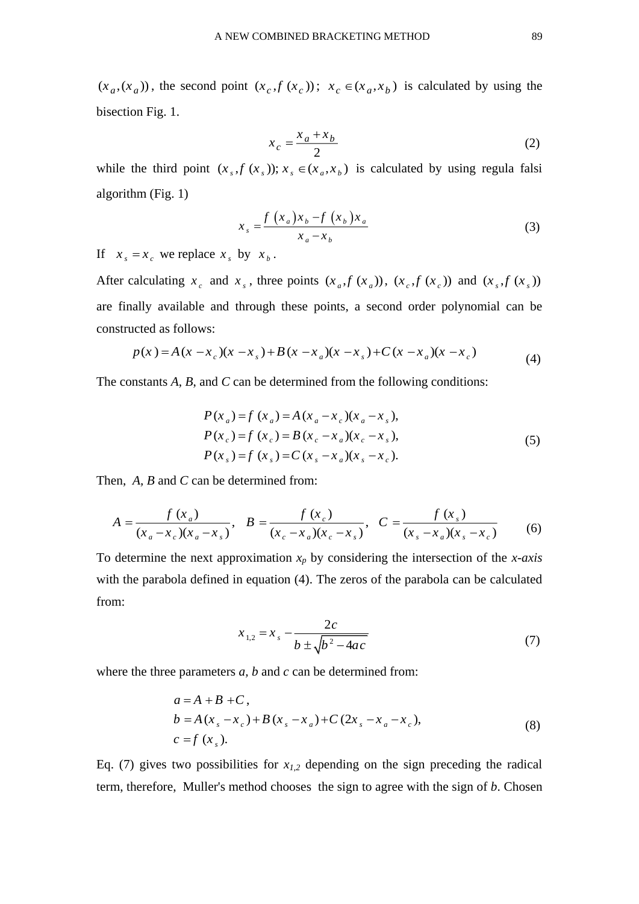$(x_a, (x_a))$ , the second point  $(x_c, f(x_c))$ ;  $x_c \in (x_a, x_b)$  is calculated by using the bisection Fig. 1.

$$
x_c = \frac{x_a + x_b}{2} \tag{2}
$$

while the third point  $(x_s, f(x_s))$ ;  $x_s \in (x_a, x_b)$  is calculated by using regula falsi algorithm (Fig. 1)

$$
x_s = \frac{f\left(x_a\right)x_b - f\left(x_b\right)x_a}{x_a - x_b} \tag{3}
$$

If  $x_s = x_c$  we replace  $x_s$  by  $x_b$ .

After calculating  $x_c$  and  $x_s$ , three points  $(x_a, f(x_a))$ ,  $(x_c, f(x_c))$  and  $(x_s, f(x_s))$ are finally available and through these points, a second order polynomial can be constructed as follows:

$$
p(x) = A(x - x_c)(x - x_s) + B(x - x_a)(x - x_s) + C(x - x_a)(x - x_c)
$$
\n(4)

The constants *A*, *B*, and *C* can be determined from the following conditions:

$$
P(x_a) = f(x_a) = A(x_a - x_c)(x_a - x_s),
$$
  
\n
$$
P(x_c) = f(x_c) = B(x_c - x_a)(x_c - x_s),
$$
  
\n
$$
P(x_s) = f(x_s) = C(x_s - x_a)(x_s - x_c).
$$
\n(5)

Then, *A, B* and *C* can be determined from:

$$
A = \frac{f(x_a)}{(x_a - x_c)(x_a - x_s)}, \quad B = \frac{f(x_c)}{(x_c - x_a)(x_c - x_s)}, \quad C = \frac{f(x_s)}{(x_s - x_a)(x_s - x_c)} \tag{6}
$$

To determine the next approximation *x<sup>p</sup>* by considering the intersection of the *x-axis* with the parabola defined in equation (4). The zeros of the parabola can be calculated from:

$$
x_{1,2} = x_s - \frac{2c}{b \pm \sqrt{b^2 - 4ac}}\tag{7}
$$

where the three parameters *a, b* and *c* can be determined from:

$$
a = A + B + C,
$$
  
\n
$$
b = A(x_s - x_c) + B(x_s - x_a) + C(2x_s - x_a - x_c),
$$
  
\n
$$
c = f(x_s).
$$
\n(8)

Eq. (7) gives two possibilities for  $x_{1,2}$  depending on the sign preceding the radical term, therefore, Muller's method chooses the sign to agree with the sign of *b*. Chosen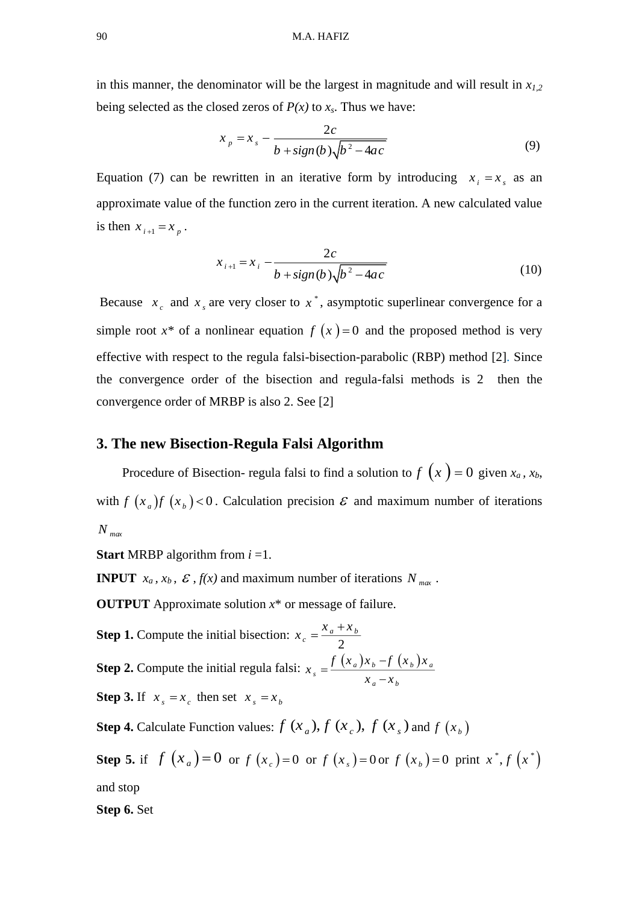in this manner, the denominator will be the largest in magnitude and will result in *x1,2* being selected as the closed zeros of  $P(x)$  to  $x_s$ . Thus we have:

$$
x_p = x_s - \frac{2c}{b + sign(b)\sqrt{b^2 - 4ac}}\tag{9}
$$

Equation (7) can be rewritten in an iterative form by introducing  $x_i = x_s$  as an approximate value of the function zero in the current iteration. A new calculated value is then  $x_{i+1} = x_p$ .

$$
x_{i+1} = x_i - \frac{2c}{b + sign(b)\sqrt{b^2 - 4ac}}
$$
 (10)

Because  $x_c$  and  $x_s$  are very closer to  $x^*$ , asymptotic superlinear convergence for a simple root  $x^*$  of a nonlinear equation  $f(x) = 0$  and the proposed method is very effective with respect to the regula falsi-bisection-parabolic (RBP) method [2]. Since the convergence order of the bisection and regula-falsi methods is 2 then the convergence order of MRBP is also 2. See [2]

#### **3. The new Bisection-Regula Falsi Algorithm**

Procedure of Bisection- regula falsi to find a solution to  $f(x) = 0$  given  $x_a$ ,  $x_b$ , with  $f(x_a)f(x_b)$  < 0. Calculation precision  $\mathcal E$  and maximum number of iterations *N max*

**Start** MRBP algorithm from *i* =1.

**INPUT**  $x_a$ ,  $x_b$ ,  $\mathcal{E}$ ,  $f(x)$  and maximum number of iterations  $N_{max}$ .

**OUTPUT** Approximate solution *x*\* or message of failure.

**Step 1.** Compute the initial bisection:  $x_c = \frac{x_a - y_c}{2}$  $\alpha$ <sup>*c*</sup> *a* <sup>1</sup> *x*<sub>*b*</sub>  $x_a = \frac{x_a + x_b}{x_a + x_b}$ **Step 2.** Compute the initial regula falsi:  $x_s = \frac{f(x_a)x_b - f(x_b)x_a}{x_a - x_b}$  $f(x_a)x_b - f(x_b)x$  $x - x$  $=\frac{J(\lambda_a)^2b}{r}$ **Step 3.** If  $x_s = x_c$  then set  $x_s = x_b$ 

**Step 4.** Calculate Function values:  $f(x_a)$ ,  $f(x_c)$ ,  $f(x_s)$  and  $f(x_b)$ 

**Step 5.** if  $f(x_a) = 0$  or  $f(x_c) = 0$  or  $f(x_s) = 0$  or  $f(x_b) = 0$  print  $x^*$ ,  $f(x^*)$ and stop

**Step 6.** Set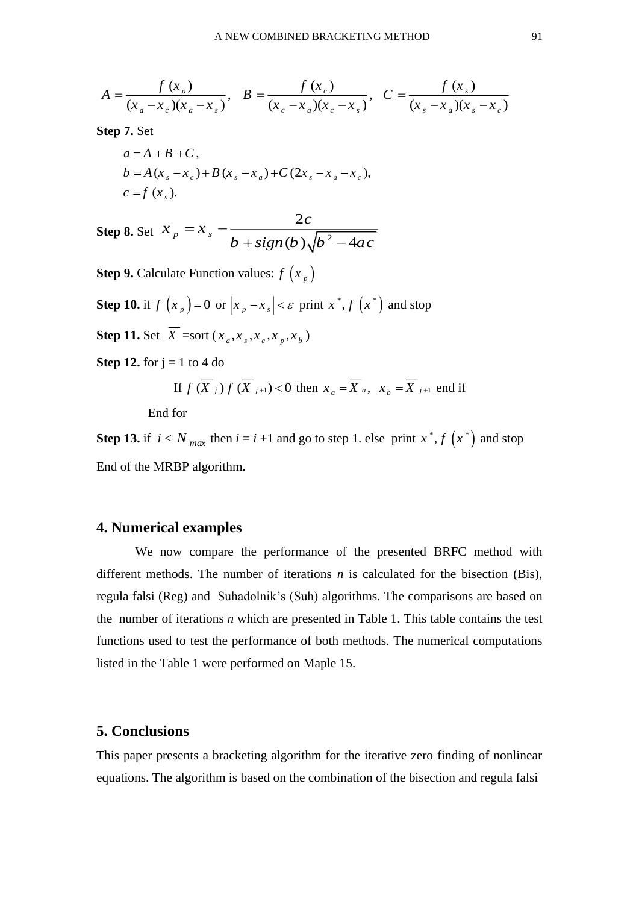A NEW COMBINED BRACKETING METHOD 91  

$$
A = \frac{f(x_a)}{(x_a - x_c)(x_a - x_s)}, \quad B = \frac{f(x_c)}{(x_c - x_a)(x_c - x_s)}, \quad C = \frac{f(x_s)}{(x_s - x_a)(x_s - x_c)}
$$

**Step 7.** Set

$$
a = A + B + C,
$$
  
\n
$$
b = A(x_s - x_c) + B(x_s - x_a) + C(2x_s - x_a - x_c),
$$
  
\n
$$
c = f(x_s).
$$

**Step 8.** Set  $X_p = X_s - \frac{1}{1 + (1 + (1 + h)^2)^2}$ 2  $\int_{b}^{b}$  is  $b + sign(b)\sqrt{b^2-4}$ *c*  $x = x$  $b + sign(b)$ <sub>s</sub> $/b^2 - 4ac$  $= x +$  sign (b), lb  $-$ 

**Step 9.** Calculate Function values:  $f\left(x_p\right)$ 

**Step 10.** if  $f(x_p) = 0$  or  $|x_p - x_s| < \varepsilon$  print  $x^*$ ,  $f(x^*)$  and stop

**Step 11.** Set  $\overline{X}$  =sort  $(x_a, x_s, x_c, x_p, x_b)$ 

**Step 12.** for  $j = 1$  to 4 do

If 
$$
f\left(\overline{X}_j\right)f\left(\overline{X}_{j+1}\right) < 0
$$
 then  $x_a = \overline{X}_a$ ,  $x_b = \overline{X}_{j+1}$  end if

End for

**Step 13.** if  $i < N_{max}$  then  $i = i + 1$  and go to step 1. else print  $x^*$ ,  $f(x^*)$  and stop End of the MRBP algorithm.

### **4. Numerical examples**

We now compare the performance of the presented BRFC method with different methods. The number of iterations *n* is calculated for the bisection (Bis), regula falsi (Reg) and Suhadolnik's (Suh) algorithms. The comparisons are based on the number of iterations *n* which are presented in Table 1. This table contains the test functions used to test the performance of both methods. The numerical computations listed in the Table 1 were performed on Maple 15.

## **5. Conclusions**

This paper presents a bracketing algorithm for the iterative zero finding of nonlinear equations. The algorithm is based on the combination of the bisection and regula falsi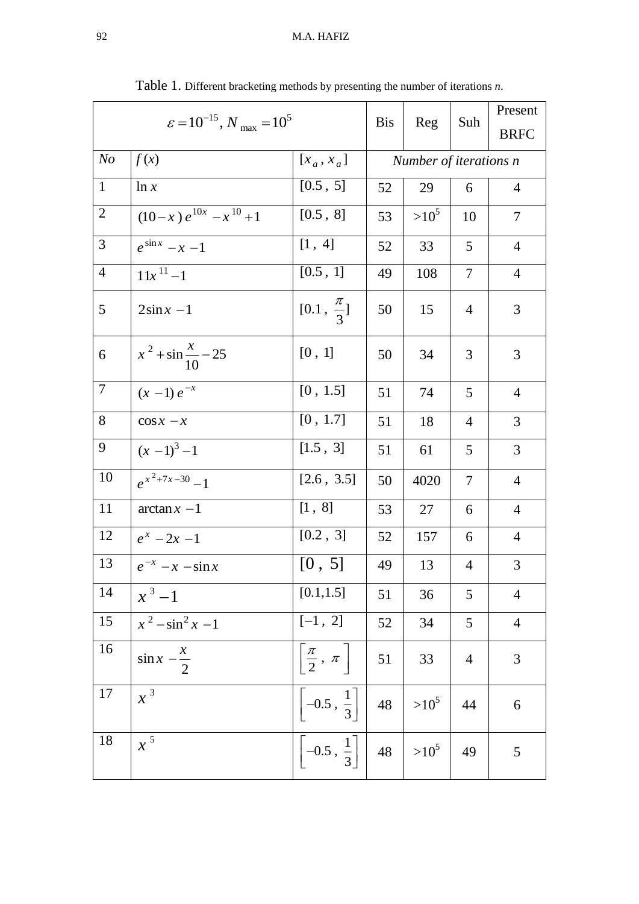| $\varepsilon = 10^{-15}$ , $N_{\text{max}} = 10^5$ |                                |                                  | <b>Bis</b>             | Reg     | Suh            | Present<br><b>BRFC</b> |
|----------------------------------------------------|--------------------------------|----------------------------------|------------------------|---------|----------------|------------------------|
| N <sub>o</sub>                                     | f(x)                           | $[x_a, x_a]$                     | Number of iterations n |         |                |                        |
| $\mathbf{1}$                                       | ln x                           | [0.5, 5]                         | 52                     | 29      | 6              | $\overline{4}$         |
| $\overline{2}$                                     | $(10-x) e^{10x} - x^{10} + 1$  | [0.5, 8]                         | 53                     | $>10^5$ | 10             | 7                      |
| 3                                                  | $e^{\sin x}$ – $x$ – 1         | [1, 4]                           | 52                     | 33      | 5              | $\overline{4}$         |
| $\overline{4}$                                     | $11x^{11} - 1$                 | [0.5, 1]                         | 49                     | 108     | 7              | $\overline{4}$         |
| 5                                                  | $2\sin x - 1$                  | $[0.1, \frac{\pi}{3}]$           | 50                     | 15      | $\overline{4}$ | 3                      |
| 6                                                  | $x^2 + \sin \frac{x}{10} - 25$ | [0, 1]                           | 50                     | 34      | 3              | 3                      |
| 7                                                  | $(x - 1) e^{-x}$               | [0, 1.5]                         | 51                     | 74      | 5              | $\overline{4}$         |
| 8                                                  | $\cos x - x$                   | [0, 1.7]                         | 51                     | 18      | $\overline{4}$ | 3                      |
| 9                                                  | $(x-1)^3-1$                    | [1.5, 3]                         | 51                     | 61      | 5              | 3                      |
| 10                                                 | $e^{x^2+7x-30}-1$              | [2.6, 3.5]                       | 50                     | 4020    | $\tau$         | $\overline{4}$         |
| 11                                                 | $\arctan x -1$                 | [1, 8]                           | 53                     | 27      | 6              | $\overline{4}$         |
| 12                                                 | $e^{x}$ – 2x – 1               | [0.2, 3]                         | 52                     | 157     | 6              | $\overline{4}$         |
| 13                                                 | $e^{-x}$ - $x$ - $\sin x$      | [0, 5]                           | 49                     | 13      | $\overline{4}$ | 3                      |
| 14                                                 | $x^3-1$                        | [0.1, 1.5]                       | 51                     | 36      | 5              | $\overline{4}$         |
| 15                                                 | $x^2 - \sin^2 x - 1$           | $[-1, 2]$                        | 52                     | 34      | 5              | $\overline{4}$         |
| 16                                                 | $\sin x - \frac{x}{2}$         | $\frac{\pi}{2}$ , $\pi$          | 51                     | 33      | $\overline{4}$ | 3                      |
| 17                                                 | $x^3$                          | $\Big -0.5\,,\,\frac{1}{3}\Big $ | 48                     | $>10^5$ | 44             | 6                      |
| 18                                                 | $x^5$                          | $\Big -0.5\,,\,\frac{1}{3}\Big $ | 48                     | $>10^5$ | 49             | 5                      |

Table 1. Different bracketing methods by presenting the number of iterations *n*.